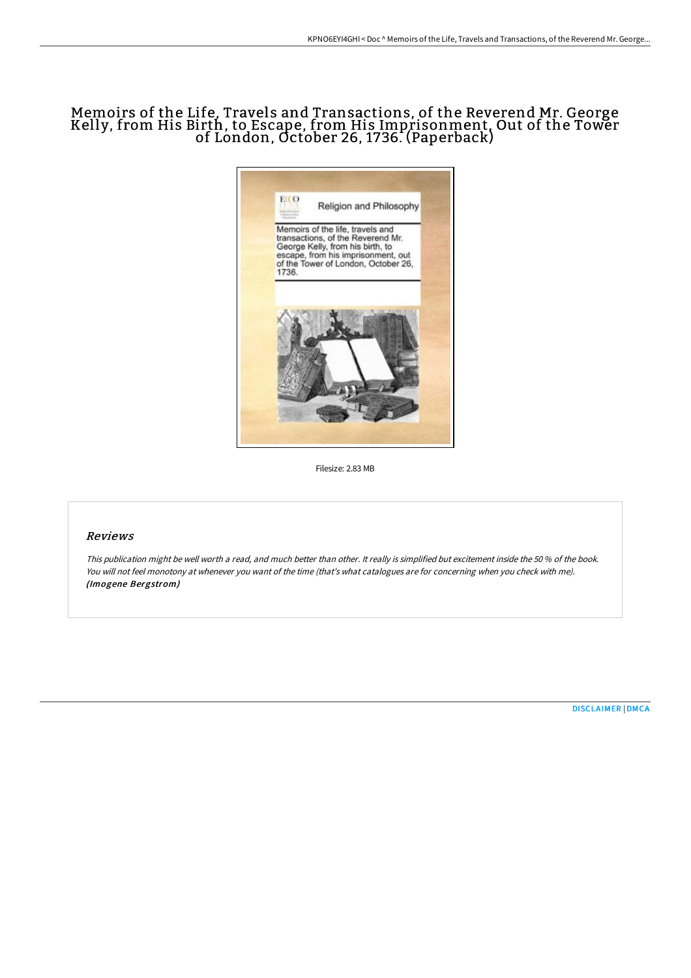# Memoirs of the Life, Travels and Transactions, of the Reverend Mr. George Kelly, from His Birth, to Escape, from His Imprisonment, Out of the Tower of London, October 26, 1736. (Paperback)



Filesize: 2.83 MB

### Reviews

This publication might be well worth <sup>a</sup> read, and much better than other. It really is simplified but excitement inside the <sup>50</sup> % of the book. You will not feel monotony at whenever you want of the time (that's what catalogues are for concerning when you check with me). (Imogene Bergstrom)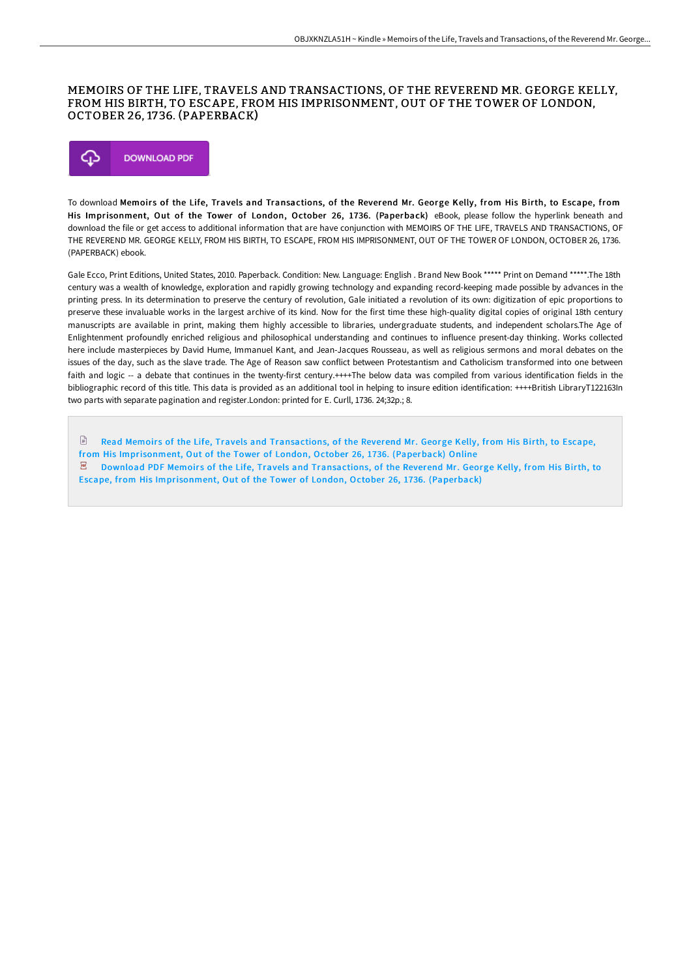### MEMOIRS OF THE LIFE, TRAVELS AND TRANSACTIONS, OF THE REVEREND MR. GEORGE KELLY, FROM HIS BIRTH, TO ESCAPE, FROM HIS IMPRISONMENT, OUT OF THE TOWER OF LONDON, OCTOBER 26, 1736. (PAPERBACK)



To download Memoir s of the Life, Travels and Transactions, of the Reverend Mr. George Kelly, from His Birth, to Escape, from His Imprisonment, Out of the Tower of London, October 26, 1736. (Paperback) eBook, please follow the hyperlink beneath and download the file or get access to additional information that are have conjunction with MEMOIRS OF THE LIFE, TRAVELS AND TRANSACTIONS, OF THE REVEREND MR. GEORGE KELLY, FROM HIS BIRTH, TO ESCAPE, FROM HIS IMPRISONMENT, OUT OF THE TOWER OF LONDON, OCTOBER 26, 1736. (PAPERBACK) ebook.

Gale Ecco, Print Editions, United States, 2010. Paperback. Condition: New. Language: English . Brand New Book \*\*\*\*\* Print on Demand \*\*\*\*\*.The 18th century was a wealth of knowledge, exploration and rapidly growing technology and expanding record-keeping made possible by advances in the printing press. In its determination to preserve the century of revolution, Gale initiated a revolution of its own: digitization of epic proportions to preserve these invaluable works in the largest archive of its kind. Now for the first time these high-quality digital copies of original 18th century manuscripts are available in print, making them highly accessible to libraries, undergraduate students, and independent scholars.The Age of Enlightenment profoundly enriched religious and philosophical understanding and continues to influence present-day thinking. Works collected here include masterpieces by David Hume, Immanuel Kant, and Jean-Jacques Rousseau, as well as religious sermons and moral debates on the issues of the day, such as the slave trade. The Age of Reason saw conflict between Protestantism and Catholicism transformed into one between faith and logic -- a debate that continues in the twenty-first century.++++The below data was compiled from various identification fields in the bibliographic record of this title. This data is provided as an additional tool in helping to insure edition identification: ++++British LibraryT122163In two parts with separate pagination and register.London: printed for E. Curll, 1736. 24;32p.; 8.

 $\Box$ Read Memoirs of the Life, Travels and Transactions, of the Reverend Mr. George Kelly, from His Birth, to Escape, from His [Imprisonment,](http://techno-pub.tech/memoirs-of-the-life-travels-and-transactions-of--1.html) Out of the Tower of London, October 26, 1736. (Paperback) Online  $\mathbb E$  Download PDF Memoirs of the Life, Travels and Transactions, of the Reverend Mr. George Kelly, from His Birth, to Escape, from His [Imprisonment,](http://techno-pub.tech/memoirs-of-the-life-travels-and-transactions-of--1.html) Out of the Tower of London, October 26, 1736. (Paperback)